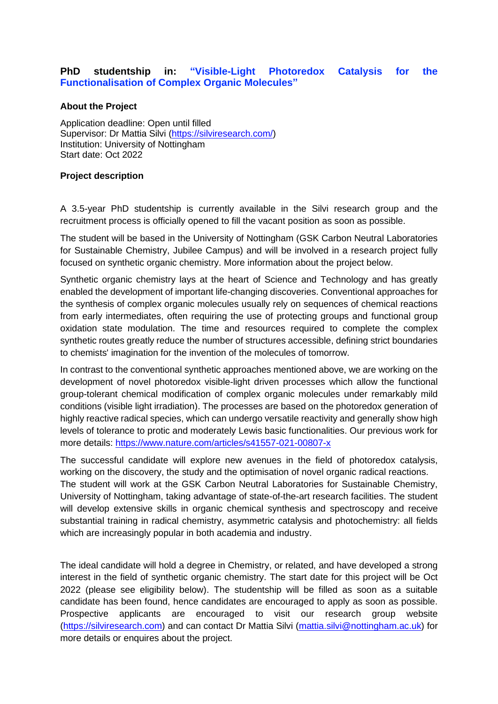# **PhD studentship in: "Visible-Light Photoredox Catalysis for the Functionalisation of Complex Organic Molecules"**

# **About the Project**

Application deadline: Open until filled Supervisor: Dr Mattia Silvi [\(https://silviresearch.com/\)](https://silviresearch.com/) Institution: University of Nottingham Start date: Oct 2022

# **Project description**

A 3.5-year PhD studentship is currently available in the Silvi research group and the recruitment process is officially opened to fill the vacant position as soon as possible.

The student will be based in the University of Nottingham (GSK Carbon Neutral Laboratories for Sustainable Chemistry, Jubilee Campus) and will be involved in a research project fully focused on synthetic organic chemistry. More information about the project below.

Synthetic organic chemistry lays at the heart of Science and Technology and has greatly enabled the development of important life-changing discoveries. Conventional approaches for the synthesis of complex organic molecules usually rely on sequences of chemical reactions from early intermediates, often requiring the use of protecting groups and functional group oxidation state modulation. The time and resources required to complete the complex synthetic routes greatly reduce the number of structures accessible, defining strict boundaries to chemists' imagination for the invention of the molecules of tomorrow.

In contrast to the conventional synthetic approaches mentioned above, we are working on the development of novel photoredox visible-light driven processes which allow the functional group-tolerant chemical modification of complex organic molecules under remarkably mild conditions (visible light irradiation). The processes are based on the photoredox generation of highly reactive radical species, which can undergo versatile reactivity and generally show high levels of tolerance to protic and moderately Lewis basic functionalities. Our previous work for more details:<https://www.nature.com/articles/s41557-021-00807-x>

The successful candidate will explore new avenues in the field of photoredox catalysis, working on the discovery, the study and the optimisation of novel organic radical reactions. The student will work at the GSK Carbon Neutral Laboratories for Sustainable Chemistry, University of Nottingham, taking advantage of state-of-the-art research facilities. The student will develop extensive skills in organic chemical synthesis and spectroscopy and receive substantial training in radical chemistry, asymmetric catalysis and photochemistry: all fields which are increasingly popular in both academia and industry.

The ideal candidate will hold a degree in Chemistry, or related, and have developed a strong interest in the field of synthetic organic chemistry. The start date for this project will be Oct 2022 (please see eligibility below). The studentship will be filled as soon as a suitable candidate has been found, hence candidates are encouraged to apply as soon as possible. Prospective applicants are encouraged to visit our research group website [\(https://silviresearch.com\)](https://silviresearch.com/) and can contact Dr Mattia Silvi [\(mattia.silvi@nottingham.ac.uk\)](mailto:mattia.silvi@nottingham.ac.uk) for more details or enquires about the project.